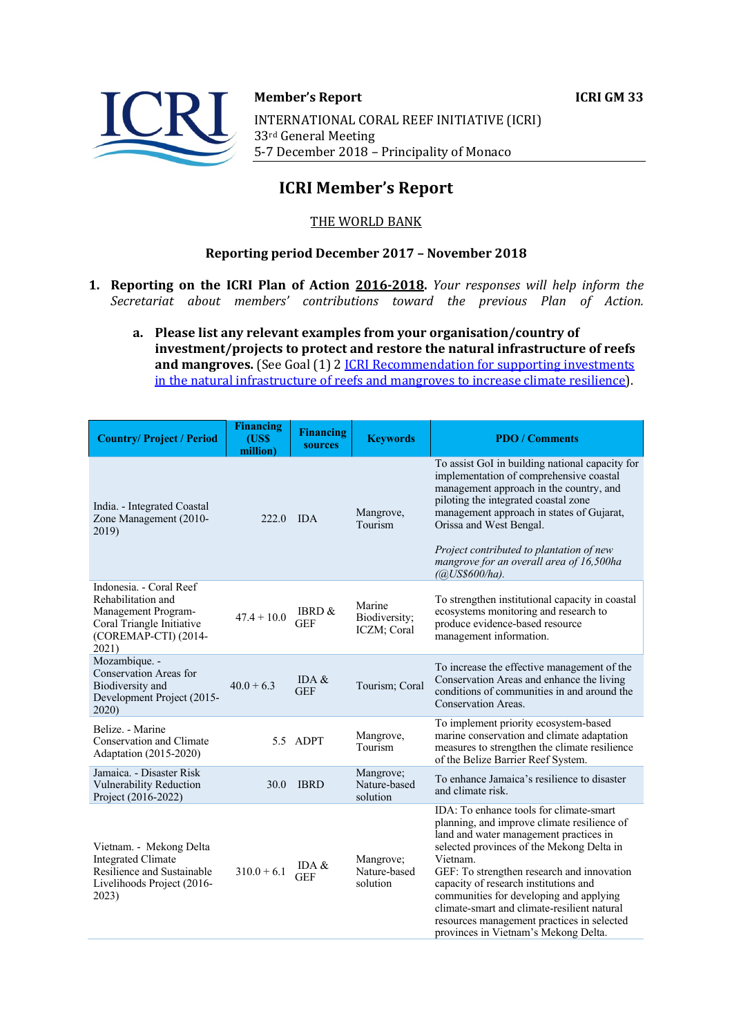

#### **Member's Report ICRI GM 33**

INTERNATIONAL CORAL REEF INITIATIVE (ICRI) 33rd General Meeting 5-7 December 2018 - Principality of Monaco

# **ICRI Member's Report**

## THE WORLD BANK

## **Reporting period December 2017 - November 2018**

- **1. Reporting on the ICRI Plan of Action 2016-2018.** *Your responses will help inform the Secretariat about members' contributions toward the previous Plan of Action.*
	- a. Please list any relevant examples from your organisation/country of investment/projects to protect and restore the natural infrastructure of reefs **and mangroves.** (See Goal (1) 2 *ICRI Recommendation for supporting investments* in the natural infrastructure of reefs and mangroves to increase climate resilience).

| <b>Country/Project / Period</b>                                                                                                    | <b>Financing</b><br><b>(US\$)</b><br>million) | <b>Financing</b><br>sources | <b>Keywords</b>                        | <b>PDO</b> / Comments                                                                                                                                                                                                                                                                                                                                                                                                                                            |
|------------------------------------------------------------------------------------------------------------------------------------|-----------------------------------------------|-----------------------------|----------------------------------------|------------------------------------------------------------------------------------------------------------------------------------------------------------------------------------------------------------------------------------------------------------------------------------------------------------------------------------------------------------------------------------------------------------------------------------------------------------------|
| India. - Integrated Coastal<br>Zone Management (2010-<br>2019)                                                                     | 222.0                                         | <b>IDA</b>                  | Mangrove,<br>Tourism                   | To assist GoI in building national capacity for<br>implementation of comprehensive coastal<br>management approach in the country, and<br>piloting the integrated coastal zone<br>management approach in states of Gujarat,<br>Orissa and West Bengal.<br>Project contributed to plantation of new<br>mangrove for an overall area of 16,500ha<br>$(a)USS600/ha)$ .                                                                                               |
| Indonesia. - Coral Reef<br>Rehabilitation and<br>Management Program-<br>Coral Triangle Initiative<br>(COREMAP-CTI) (2014-<br>2021) | $47.4 + 10.0$                                 | IBRD &<br><b>GEF</b>        | Marine<br>Biodiversity;<br>ICZM; Coral | To strengthen institutional capacity in coastal<br>ecosystems monitoring and research to<br>produce evidence-based resource<br>management information.                                                                                                                                                                                                                                                                                                           |
| Mozambique. -<br>Conservation Areas for<br>Biodiversity and<br>Development Project (2015-<br>2020)                                 | $40.0 + 6.3$                                  | IDA $&$<br><b>GEF</b>       | Tourism; Coral                         | To increase the effective management of the<br>Conservation Areas and enhance the living<br>conditions of communities in and around the<br>Conservation Areas.                                                                                                                                                                                                                                                                                                   |
| Belize. - Marine<br>Conservation and Climate<br>Adaptation (2015-2020)                                                             |                                               | 5.5 ADPT                    | Mangrove,<br>Tourism                   | To implement priority ecosystem-based<br>marine conservation and climate adaptation<br>measures to strengthen the climate resilience<br>of the Belize Barrier Reef System.                                                                                                                                                                                                                                                                                       |
| Jamaica. - Disaster Risk<br>Vulnerability Reduction<br>Project (2016-2022)                                                         | 30.0                                          | <b>IBRD</b>                 | Mangrove;<br>Nature-based<br>solution  | To enhance Jamaica's resilience to disaster<br>and climate risk.                                                                                                                                                                                                                                                                                                                                                                                                 |
| Vietnam. - Mekong Delta<br><b>Integrated Climate</b><br>Resilience and Sustainable<br>Livelihoods Project (2016-<br>2023)          | $310.0 + 6.1$                                 | IDA $&$<br><b>GEF</b>       | Mangrove;<br>Nature-based<br>solution  | IDA: To enhance tools for climate-smart<br>planning, and improve climate resilience of<br>land and water management practices in<br>selected provinces of the Mekong Delta in<br>Vietnam.<br>GEF: To strengthen research and innovation<br>capacity of research institutions and<br>communities for developing and applying<br>climate-smart and climate-resilient natural<br>resources management practices in selected<br>provinces in Vietnam's Mekong Delta. |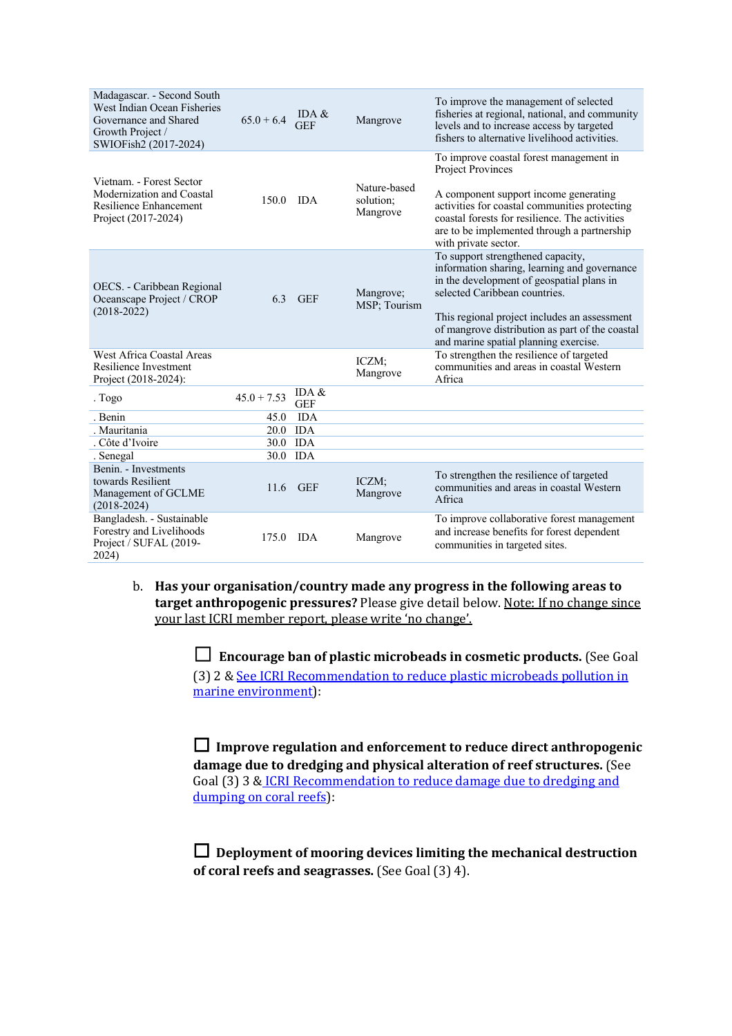| Madagascar. - Second South<br>West Indian Ocean Fisheries<br>Governance and Shared<br>Growth Project /<br>SWIOFish2 (2017-2024) | $65.0 + 6.4$  | IDA $\&$<br><b>GEF</b> | Mangrove                              | To improve the management of selected<br>fisheries at regional, national, and community<br>levels and to increase access by targeted<br>fishers to alternative livelihood activities.                                                                                                                       |
|---------------------------------------------------------------------------------------------------------------------------------|---------------|------------------------|---------------------------------------|-------------------------------------------------------------------------------------------------------------------------------------------------------------------------------------------------------------------------------------------------------------------------------------------------------------|
| Vietnam. - Forest Sector<br>Modernization and Coastal<br>Resilience Enhancement<br>Project (2017-2024)                          | $150.0$ IDA   |                        | Nature-based<br>solution;<br>Mangrove | To improve coastal forest management in<br>Project Provinces<br>A component support income generating<br>activities for coastal communities protecting<br>coastal forests for resilience. The activities<br>are to be implemented through a partnership<br>with private sector.                             |
| OECS. - Caribbean Regional<br>Oceanscape Project / CROP<br>$(2018 - 2022)$                                                      | 6.3           | <b>GEF</b>             | Mangrove;<br>MSP: Tourism             | To support strengthened capacity,<br>information sharing, learning and governance<br>in the development of geospatial plans in<br>selected Caribbean countries.<br>This regional project includes an assessment<br>of mangrove distribution as part of the coastal<br>and marine spatial planning exercise. |
| West Africa Coastal Areas<br>Resilience Investment<br>Project (2018-2024):                                                      |               |                        | ICZM;<br>Mangrove                     | To strengthen the resilience of targeted<br>communities and areas in coastal Western<br>Africa                                                                                                                                                                                                              |
| . Togo                                                                                                                          | $45.0 + 7.53$ | IDA $\&$<br><b>GEF</b> |                                       |                                                                                                                                                                                                                                                                                                             |
| . Benin                                                                                                                         | 45.0          | <b>IDA</b>             |                                       |                                                                                                                                                                                                                                                                                                             |
| . Mauritania                                                                                                                    | 20.0 IDA      |                        |                                       |                                                                                                                                                                                                                                                                                                             |
| . Côte d'Ivoire                                                                                                                 |               | 30.0 IDA               |                                       |                                                                                                                                                                                                                                                                                                             |
| . Senegal                                                                                                                       | 30.0          | <b>IDA</b>             |                                       |                                                                                                                                                                                                                                                                                                             |
| Benin. - Investments<br>towards Resilient<br>Management of GCLME<br>$(2018 - 2024)$                                             |               | 11.6 GEF               | ICZM;<br>Mangrove                     | To strengthen the resilience of targeted<br>communities and areas in coastal Western<br>Africa                                                                                                                                                                                                              |
| Bangladesh. - Sustainable<br>Forestry and Livelihoods<br>Project / SUFAL (2019-<br>2024)                                        | 175.0 IDA     |                        | Mangrove                              | To improve collaborative forest management<br>and increase benefits for forest dependent<br>communities in targeted sites.                                                                                                                                                                                  |

b. Has your organisation/country made any progress in the following areas to **target anthropogenic pressures?** Please give detail below. Note: If no change since your last ICRI member report, please write 'no change'.

> $\Box$  **Encourage ban of plastic microbeads in cosmetic products.** (See Goal (3) 2 & See ICRI Recommendation to reduce plastic microbeads pollution in marine environment):

□ Improve regulation and enforcement to reduce direct anthropogenic damage due to dredging and physical alteration of reef structures. (See Goal (3) 3 & ICRI Recommendation to reduce damage due to dredging and dumping on coral reefs):

□ Deployment of mooring devices limiting the mechanical destruction **of coral reefs and seagrasses.** (See Goal (3) 4).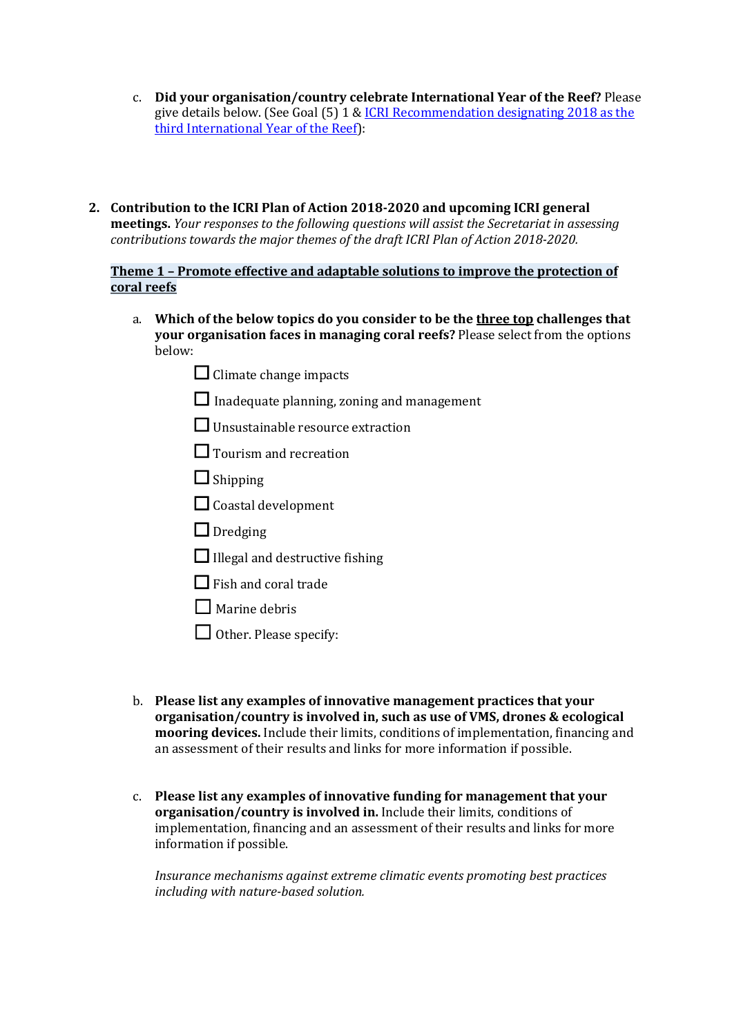- c. **Did your organisation/country celebrate International Year of the Reef?** Please give details below. (See Goal  $(5)$  1 & ICRI Recommendation designating 2018 as the third International Year of the Reef):
- 2. Contribution to the ICRI Plan of Action 2018-2020 and upcoming ICRI general **meetings.** *Your responses to the following questions will assist the Secretariat in assessing contributions towards the major themes of the draft ICRI Plan of Action 2018-2020.*

**Theme 1 - Promote effective and adaptable solutions to improve the protection of coral reefs**

- a. Which of the below topics do you consider to be the three top challenges that **your organisation faces in managing coral reefs?** Please select from the options below:
	- $\Box$  Climate change impacts
	- $\Box$  Inadequate planning, zoning and management
	- $\Box$  Unsustainable resource extraction
	- □ Tourism and recreation
	- ☐ Shipping
	- $\Box$  Coastal development
	- □ Dredging
	- $\Box$  Illegal and destructive fishing
	- $\Box$  Fish and coral trade
	- $\Box$  Marine debris
	- □ Other. Please specify:
- b. **Please list any examples of innovative management practices that your organisation/country is involved in, such as use of VMS, drones & ecological mooring devices.** Include their limits, conditions of implementation, financing and an assessment of their results and links for more information if possible.
- c. Please list any examples of innovative funding for management that your organisation/country is involved in. Include their limits, conditions of implementation, financing and an assessment of their results and links for more information if possible.

*Insurance mechanisms against extreme climatic events promoting best practices including with nature-based solution.*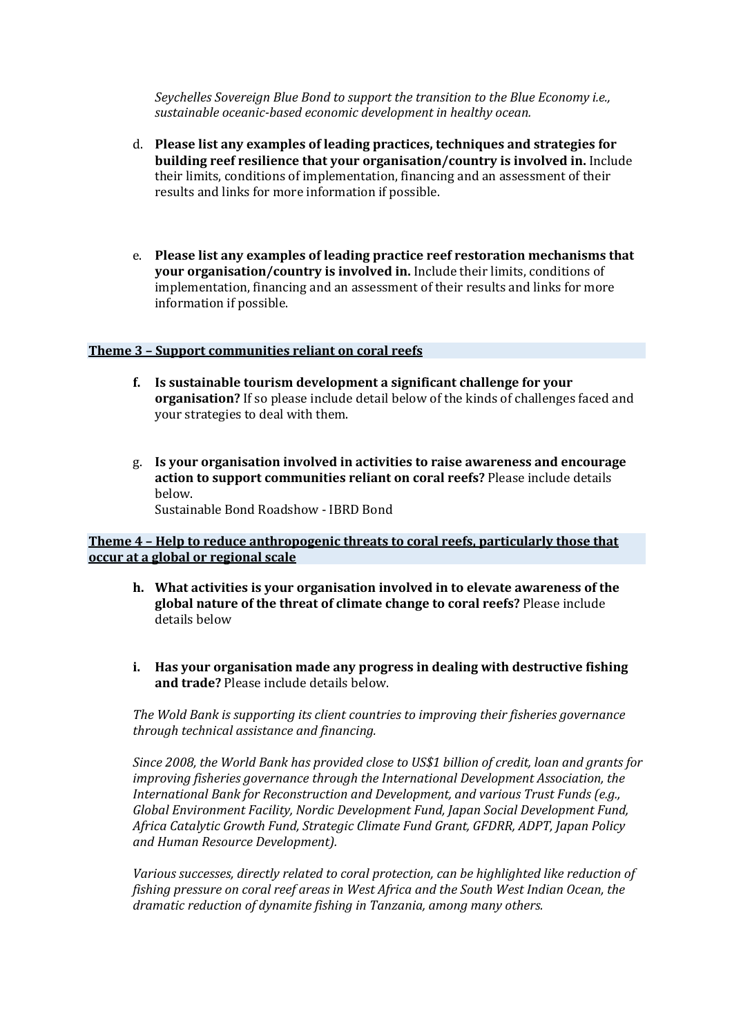*Seychelles Sovereign Blue Bond to support the transition to the Blue Economy i.e.,* sustainable oceanic-based economic development in healthy ocean.

- d. Please list any examples of leading practices, techniques and strategies for **building reef resilience that your organisation/country is involved in.** Include their limits, conditions of implementation, financing and an assessment of their results and links for more information if possible.
- e. Please list any examples of leading practice reef restoration mechanisms that **your organisation/country is involved in.** Include their limits, conditions of implementation, financing and an assessment of their results and links for more information if possible.

#### **Theme 3 - Support communities reliant on coral reefs**

- **f.** Is sustainable tourism development a significant challenge for your **organisation?** If so please include detail below of the kinds of challenges faced and your strategies to deal with them.
- g. Is your organisation involved in activities to raise awareness and encourage action to support communities reliant on coral reefs? Please include details below. Sustainable Bond Roadshow - IBRD Bond

### **Theme 4 - Help to reduce anthropogenic threats to coral reefs, particularly those that occur at a global or regional scale**

- **h.** What activities is your organisation involved in to elevate awareness of the **global nature of the threat of climate change to coral reefs?** Please include details below
- **i.** Has your organisation made any progress in dealing with destructive fishing **and trade?** Please include details below.

The Wold Bank is supporting its client countries to improving their fisheries governance *through technical assistance and financing.*

Since 2008, the World Bank has provided close to US\$1 billion of credit, loan and grants for *improving fisheries governance through the International Development Association, the International Bank for Reconstruction and Development, and various Trust Funds (e.g., Global Environment Facility, Nordic Development Fund, Japan Social Development Fund, Africa Catalytic Growth Fund, Strategic Climate Fund Grant, GFDRR, ADPT, Japan Policy and Human Resource Development).*

Various successes, directly related to coral protection, can be highlighted like reduction of *fishing pressure on coral reef areas in West Africa and the South West Indian Ocean, the dramatic reduction of dynamite fishing in Tanzania, among many others.*